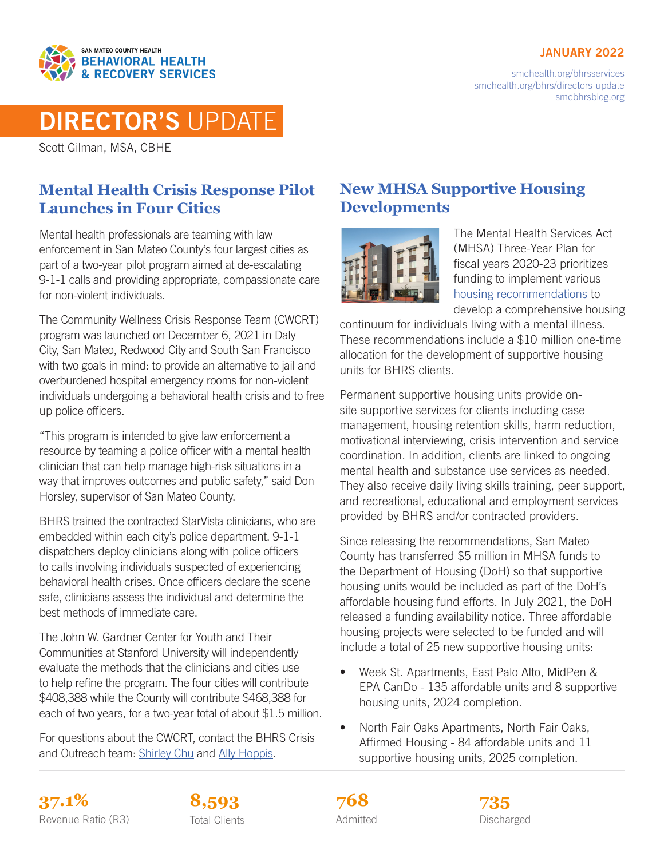#### JANUARY 2022



[smchealth.org/bhrsservices](https://www.smchealth.org/bhrsservices) [smchealth.org/bhrs/directors-update](https://www.smchealth.org/bhrs/directors-update) [smcbhrsblog.org](http://www.smcbhrsblog.org)

# DIRECTOR'S UPDATE

Scott Gilman, MSA, CBHE

### **Mental Health Crisis Response Pilot Launches in Four Cities**

Mental health professionals are teaming with law enforcement in San Mateo County's four largest cities as part of a two-year pilot program aimed at de-escalating 9-1-1 calls and providing appropriate, compassionate care for non-violent individuals.

The Community Wellness Crisis Response Team (CWCRT) program was launched on December 6, 2021 in Daly City, San Mateo, Redwood City and South San Francisco with two goals in mind: to provide an alternative to jail and overburdened hospital emergency rooms for non-violent individuals undergoing a behavioral health crisis and to free up police officers.

"This program is intended to give law enforcement a resource by teaming a police officer with a mental health clinician that can help manage high-risk situations in a way that improves outcomes and public safety," said Don Horsley, supervisor of San Mateo County.

BHRS trained the contracted StarVista clinicians, who are embedded within each city's police department. 9-1-1 dispatchers deploy clinicians along with police officers to calls involving individuals suspected of experiencing behavioral health crises. Once officers declare the scene safe, clinicians assess the individual and determine the best methods of immediate care.

The John W. Gardner Center for Youth and Their Communities at Stanford University will independently evaluate the methods that the clinicians and cities use to help refine the program. The four cities will contribute \$408,388 while the County will contribute \$468,388 for each of two years, for a two-year total of about \$1.5 million.

For questions about the CWCRT, contact the BHRS Crisis and Outreach team: [Shirley Chu](mailto:schu%40smcgov.org?subject=) and [Ally Hoppis.](mailto:ahoppis%40smcgov.org?subject=)

### **New MHSA Supportive Housing Developments**



The Mental Health Services Act (MHSA) Three-Year Plan for fiscal years 2020-23 prioritizes funding to implement various [housing recommendations](https://www.smchealth.org/sites/main/files/file-attachments/housing_initiative_prioritized_funding_recommendations.pdf?1622216550) to develop a comprehensive housing

continuum for individuals living with a mental illness. These recommendations include a \$10 million one-time allocation for the development of supportive housing units for BHRS clients.

Permanent supportive housing units provide onsite supportive services for clients including case management, housing retention skills, harm reduction, motivational interviewing, crisis intervention and service coordination. In addition, clients are linked to ongoing mental health and substance use services as needed. They also receive daily living skills training, peer support, and recreational, educational and employment services provided by BHRS and/or contracted providers.

Since releasing the recommendations, San Mateo County has transferred \$5 million in MHSA funds to the Department of Housing (DoH) so that supportive housing units would be included as part of the DoH's affordable housing fund efforts. In July 2021, the DoH released a funding availability notice. Three affordable housing projects were selected to be funded and will include a total of 25 new supportive housing units:

- Week St. Apartments, East Palo Alto, MidPen & EPA CanDo - 135 affordable units and 8 supportive housing units, 2024 completion.
- North Fair Oaks Apartments, North Fair Oaks, Affirmed Housing - 84 affordable units and 11 supportive housing units, 2025 completion.

**37.1% 8,593 735** Revenue Ratio (R3) Total Clients **Constructs** Admitted **Discharged** Discharged





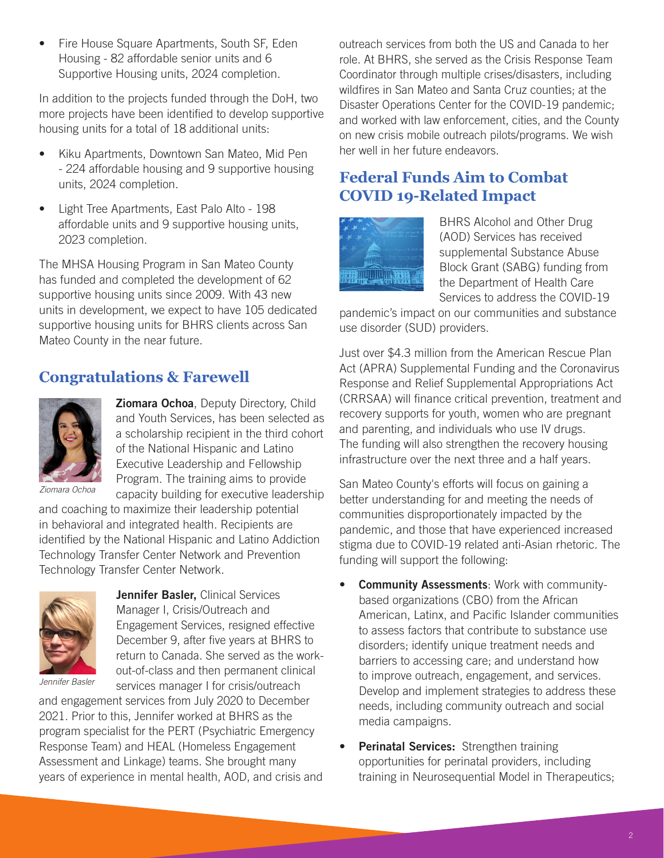• Fire House Square Apartments, South SF, Eden Housing - 82 affordable senior units and 6 Supportive Housing units, 2024 completion.

In addition to the projects funded through the DoH, two more projects have been identified to develop supportive housing units for a total of 18 additional units:

- Kiku Apartments, Downtown San Mateo, Mid Pen - 224 affordable housing and 9 supportive housing units, 2024 completion.
- Light Tree Apartments, East Palo Alto 198 affordable units and 9 supportive housing units, 2023 completion.

The MHSA Housing Program in San Mateo County has funded and completed the development of 62 supportive housing units since 2009. With 43 new units in development, we expect to have 105 dedicated supportive housing units for BHRS clients across San Mateo County in the near future.

#### **Congratulations & Farewell**



**Ziomara Ochoa, Deputy Directory, Child** and Youth Services, has been selected as a scholarship recipient in the third cohort of the National Hispanic and Latino Executive Leadership and Fellowship Program. The training aims to provide capacity building for executive leadership

*Ziomara Ochoa*

and coaching to maximize their leadership potential in behavioral and integrated health. Recipients are identified by the National Hispanic and Latino Addiction Technology Transfer Center Network and Prevention Technology Transfer Center Network.



Jennifer Basler, Clinical Services Manager I, Crisis/Outreach and Engagement Services, resigned effective December 9, after five years at BHRS to return to Canada. She served as the workout-of-class and then permanent clinical services manager I for crisis/outreach

*Jennifer Basler*

and engagement services from July 2020 to December 2021. Prior to this, Jennifer worked at BHRS as the program specialist for the PERT (Psychiatric Emergency Response Team) and HEAL (Homeless Engagement Assessment and Linkage) teams. She brought many years of experience in mental health, AOD, and crisis and outreach services from both the US and Canada to her role. At BHRS, she served as the Crisis Response Team Coordinator through multiple crises/disasters, including wildfires in San Mateo and Santa Cruz counties; at the Disaster Operations Center for the COVID-19 pandemic; and worked with law enforcement, cities, and the County on new crisis mobile outreach pilots/programs. We wish her well in her future endeavors.

#### **Federal Funds Aim to Combat COVID 19-Related Impact**



BHRS Alcohol and Other Drug (AOD) Services has received supplemental Substance Abuse Block Grant (SABG) funding from the Department of Health Care Services to address the COVID-19

pandemic's impact on our communities and substance use disorder (SUD) providers.

Just over \$4.3 million from the American Rescue Plan Act (APRA) Supplemental Funding and the Coronavirus Response and Relief Supplemental Appropriations Act (CRRSAA) will finance critical prevention, treatment and recovery supports for youth, women who are pregnant and parenting, and individuals who use IV drugs. The funding will also strengthen the recovery housing infrastructure over the next three and a half years.

San Mateo County's efforts will focus on gaining a better understanding for and meeting the needs of communities disproportionately impacted by the pandemic, and those that have experienced increased stigma due to COVID-19 related anti-Asian rhetoric. The funding will support the following:

- Community Assessments: Work with communitybased organizations (CBO) from the African American, Latinx, and Pacific Islander communities to assess factors that contribute to substance use disorders; identify unique treatment needs and barriers to accessing care; and understand how to improve outreach, engagement, and services. Develop and implement strategies to address these needs, including community outreach and social media campaigns.
- Perinatal Services: Strengthen training opportunities for perinatal providers, including training in Neurosequential Model in Therapeutics;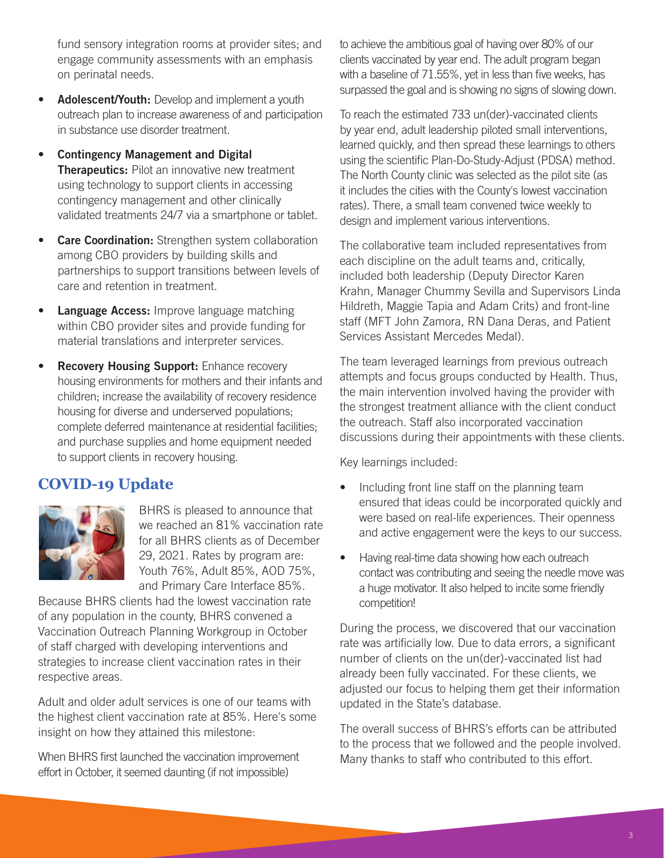fund sensory integration rooms at provider sites; and engage community assessments with an emphasis on perinatal needs.

- Adolescent/Youth: Develop and implement a youth outreach plan to increase awareness of and participation in substance use disorder treatment.
- Contingency Management and Digital Therapeutics: Pilot an innovative new treatment using technology to support clients in accessing contingency management and other clinically validated treatments 24/7 via a smartphone or tablet.
- **Care Coordination:** Strengthen system collaboration among CBO providers by building skills and partnerships to support transitions between levels of care and retention in treatment.
- Language Access: Improve language matching within CBO provider sites and provide funding for material translations and interpreter services.
- **Recovery Housing Support:** Enhance recovery housing environments for mothers and their infants and children; increase the availability of recovery residence housing for diverse and underserved populations; complete deferred maintenance at residential facilities; and purchase supplies and home equipment needed to support clients in recovery housing.

#### **COVID-19 Update**



BHRS is pleased to announce that we reached an 81% vaccination rate for all BHRS clients as of December 29, 2021. Rates by program are: Youth 76%, Adult 85%, AOD 75%, and Primary Care Interface 85%.

Because BHRS clients had the lowest vaccination rate of any population in the county, BHRS convened a Vaccination Outreach Planning Workgroup in October of staff charged with developing interventions and strategies to increase client vaccination rates in their respective areas.

Adult and older adult services is one of our teams with the highest client vaccination rate at 85%. Here's some insight on how they attained this milestone:

When BHRS first launched the vaccination improvement effort in October, it seemed daunting (if not impossible)

to achieve the ambitious goal of having over 80% of our clients vaccinated by year end. The adult program began with a baseline of 71.55%, yet in less than five weeks, has surpassed the goal and is showing no signs of slowing down.

To reach the estimated 733 un(der)-vaccinated clients by year end, adult leadership piloted small interventions, learned quickly, and then spread these learnings to others using the scientific Plan-Do-Study-Adjust (PDSA) method. The North County clinic was selected as the pilot site (as it includes the cities with the County's lowest vaccination rates). There, a small team convened twice weekly to design and implement various interventions.

The collaborative team included representatives from each discipline on the adult teams and, critically, included both leadership (Deputy Director Karen Krahn, Manager Chummy Sevilla and Supervisors Linda Hildreth, Maggie Tapia and Adam Crits) and front-line staff (MFT John Zamora, RN Dana Deras, and Patient Services Assistant Mercedes Medal).

The team leveraged learnings from previous outreach attempts and focus groups conducted by Health. Thus, the main intervention involved having the provider with the strongest treatment alliance with the client conduct the outreach. Staff also incorporated vaccination discussions during their appointments with these clients.

Key learnings included:

- Including front line staff on the planning team ensured that ideas could be incorporated quickly and were based on real-life experiences. Their openness and active engagement were the keys to our success.
- Having real-time data showing how each outreach contact was contributing and seeing the needle move was a huge motivator. It also helped to incite some friendly competition!

During the process, we discovered that our vaccination rate was artificially low. Due to data errors, a significant number of clients on the un(der)-vaccinated list had already been fully vaccinated. For these clients, we adjusted our focus to helping them get their information updated in the State's database.

The overall success of BHRS's efforts can be attributed to the process that we followed and the people involved. Many thanks to staff who contributed to this effort.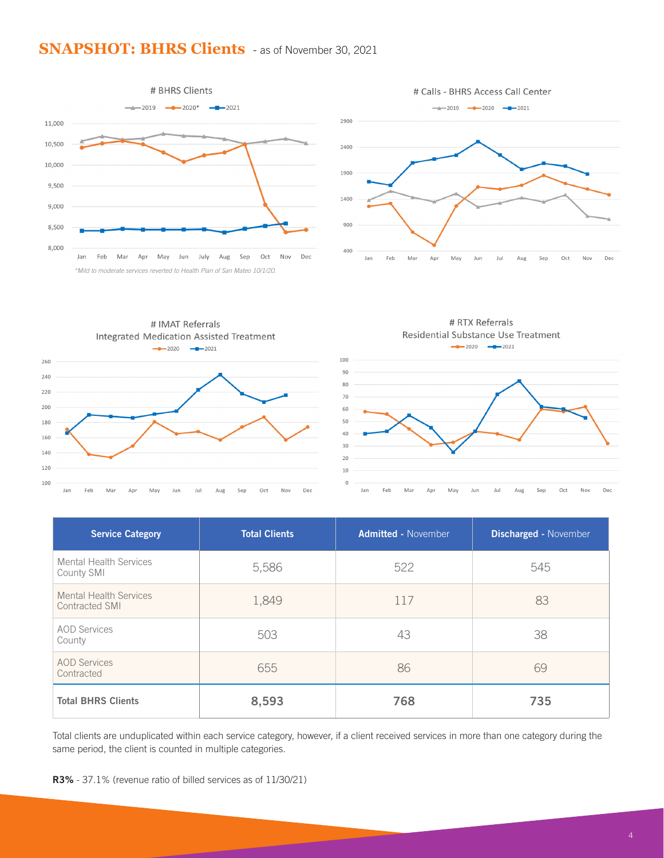#### **SNAPSHOT: BHRS Clients** - as of November 30, 2021









| <b>Service Category</b>                         | <b>Total Clients</b> | <b>Admitted - November</b> | <b>Discharged - November</b> |
|-------------------------------------------------|----------------------|----------------------------|------------------------------|
| <b>Mental Health Services</b><br>County SMI     | 5,586                | 522                        | 545                          |
| <b>Mental Health Services</b><br>Contracted SMI | 1,849                | 117                        | 83                           |
| <b>AOD Services</b><br>County                   | 503                  | 43                         | 38                           |
| <b>AOD Services</b><br>Contracted               | 655                  | 86                         | 69                           |
| <b>Total BHRS Clients</b>                       | 8,593                | 768                        | 735                          |

Total clients are unduplicated within each service category, however, if a client received services in more than one category during the same period, the client is counted in multiple categories.

R3% - 37.1% (revenue ratio of billed services as of 11/30/21)